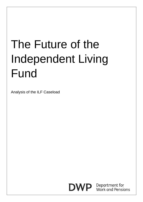# The Future of the Independent Living Fund

Analysis of the ILF Caseload



**DWP** Department for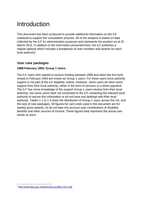# Introduction

This document has been produced to provide additional information on the ILF caseload to support the consultation process. All of the analysis is based on data collected by the ILF for administrative purposes and represents the position as at 31 March 2012. In addition to the information presented here, the ILF publishes a regular dataset which includes a breakdown of user numbers and awards for each local authority<sup>[1](#page-1-0)</sup>.

## **User care packages**

#### **1988-February 1993: Group 1 Users**

The ILF users who started to receive funding between 1988 and when the first fund closed in February 1993 are known as Group 1 users. For these users local authority support is not part of the ILF eligibility criteria. However, some users do have some support from their local authority, either in the form of services or a direct payment. The ILF has some knowledge of the support Group 1 users receive from their local authority, but some users have not consented to the ILF contacting the relevant local authority to secure this information or do not have any dealings with their local authority. Tables 1.1 to 1.3 show the distribution of Group 1 users across the UK, and the size of care packages. All figures for care costs used in this document are for weekly gross awards, so do not take into account user contributions of disability benefits and other sources of income. These figures best represent the actual care needs of users.

<u>.</u>

<span id="page-1-0"></span><sup>1</sup> <http://www.dwp.gov.uk/docs/user-profiles-1211.pdf>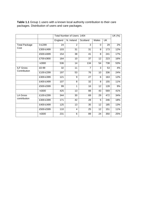Table 1.1 Group 1 users with a known local authority contribution to their care packages. Distribution of users and care packages.

|                      |                 | Total Number of Users: 1404 |                |                |          |           | $\overline{UK}$ (%) |
|----------------------|-----------------|-----------------------------|----------------|----------------|----------|-----------|---------------------|
|                      |                 | England                     | N. Ireland     | Scotland       | Wales    | <b>UK</b> |                     |
| <b>Total Package</b> | 0-£299          | 24                          | $\overline{2}$ | 3              | $\Omega$ | 29        | 2%                  |
| Cost                 | £300-£499       | 103                         | 31             | 31             | 8        | 173       | 12%                 |
|                      | £500-£699       | 154                         | 38             | 41             | 8        | 241       | 17%                 |
|                      | £700-£900       | 164                         | 10             | 37             | 12       | 223       | 16%                 |
|                      | $>\tE900$       | 536                         | 14             | 134            | 54       | 738       | 53%                 |
| <b>ILF Gross</b>     | £0-99           | 32                          | 11             | $\overline{7}$ | 3        | 53        | 4%                  |
| Contribution         | £100-£299       | 197                         | 53             | 76             | 10       | 336       | 24%                 |
|                      | £300-£399       | 121                         | 9              | 27             | 6        | 163       | 12%                 |
|                      | £400-£499       | 107                         | 8              | 32             | 8        | 155       | 11%                 |
|                      | £500-£599       | 99                          | 1              | 16             | 12       | 128       | 9%                  |
|                      | $> \pounds 600$ | 425                         | 13             | 88             | 43       | 569       | 41%                 |
| <b>LA Gross</b>      | £100-£299       | 344                         | 30             | 69             | 29       | 472       | 34%                 |
| contribution         | £300-£399       | 171                         | 42             | 28             | 5        | 246       | 18%                 |
|                      | £400-£499       | 125                         | 13             | 35             | 12       | 185       | 13%                 |
|                      | £500-£599       | 110                         | 4              | 25             | 12       | 151       | 11%                 |
|                      | >£600           | 231                         | 6              | 89             | 24       | 350       | 25%                 |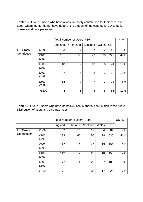**Table 1.2:** Group 1 users who have a local authority contribution for their care, but about whom the ILF do not have detail of the amount of the contribution. Distribution of users and care packages.

|                                  |               | <b>Total Number of Users: 480</b> |            |                |                |           | UK (%) |
|----------------------------------|---------------|-----------------------------------|------------|----------------|----------------|-----------|--------|
|                                  |               | England                           | N. Ireland | Scotland       | Wales          | <b>UK</b> |        |
| <b>ILF Gross</b><br>Contribution | £0-99         | 33                                | 4          | 7              | $\overline{2}$ | 46        | 10%    |
|                                  | £100-<br>£299 | 131                               | 33         | 43             | 20             | 227       | 47%    |
|                                  | £300-<br>£399 | 48                                | 7          | 13             | 6              | 74        | 15%    |
|                                  | £400-<br>£499 | 37                                | 5          | 8              | $\overline{2}$ | 52        | 11%    |
|                                  | £500-<br>£599 | 13                                | $\Omega$   | $\overline{7}$ | 3              | 23        | 5%     |
|                                  | $>E600$       | 44                                | 1          | 8              | 5              | 58        | 12%    |

Table 1.3 Group 1 users who have no known local authority contribution to their care. Distribution of users and care packages.

|                                  |               | Total Number of Users: 1292 |                |          |       |           | UK (%) |
|----------------------------------|---------------|-----------------------------|----------------|----------|-------|-----------|--------|
|                                  |               | England                     | N. Ireland     | Scotland | Wales | <b>UK</b> |        |
| <b>ILF Gross</b><br>Contribution | £0-99         | 52                          | 16             | 12       | 4     | 84        | 7%     |
|                                  | £100-<br>£299 | 293                         | 60             | 155      | 28    | 536       | 41%    |
|                                  | £300-<br>£399 | 122                         | 11             | 45       | 15    | 193       | 15%    |
|                                  | £400-<br>£499 | 112                         | $\overline{2}$ | 26       | 10    | 150       | 12%    |
|                                  | £500-<br>£599 | 72                          | 4              | 20       | 7     | 103       | 8%     |
|                                  | $>E600$       | 171                         | 2              | 36       | 17    | 226       | 17%    |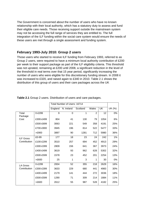The Government is concerned about the number of users who have no known relationship with their local authority, which has a statutory duty to assess and fund their eligible care needs. Those receiving support outside the mainstream system may not be accessing the full range of services they are entitled to. The full integration of the ILF funding within the social care system would ensure the needs of these users are met through a single assessment and funding system.

# **February 1993-July 2010: Group 2 users**

Those users who started to receive ILF funding from February 1993, referred to as Group 2 users, were required to have a minimum local authority contribution of £200 per week to their support package as part of the ILF eligibility criteria. This threshold was not uprated, remaining at £200 until 2008, a significant reduction in the level of the threshold in real terms over that 15 year period, significantly increasing the number of users who were eligible for this discretionary funding stream. In 2008 it was increased to £320, and raised again to £340 in 2010. Table 2.1 shows the distribution of this group of users and their care packages across the UK

|                                 |                 | Total Number of Users: 16714 |                |          |                |           |        |
|---------------------------------|-----------------|------------------------------|----------------|----------|----------------|-----------|--------|
|                                 |                 | England                      | N. Ireland     | Scotland | Wales          | <b>UK</b> | UK (%) |
| Total                           | $0 - £299$      | $\overline{9}$               | $\overline{0}$ | 1        | $\overline{2}$ | 12        | 0%     |
| Package                         |                 |                              |                |          |                |           |        |
| Cost                            | £300-£499       | 804                          | 41             | 130      | 79             | 1054      | 6%     |
|                                 | £500-£699       | 3063                         | 221            | 549      | 358            | 4191      | 25%    |
|                                 | £700-£900       | 3945                         | 196            | 814      | 522            | 5477      | 33%    |
|                                 | >£900           | 3897                         | 90             | 1281     | 712            | 5980      | 36%    |
| <b>ILF Gross</b>                | £0-99           | 177                          | 18             | 23       | 24             | 242       | 1%     |
| Contribution                    | £100-£299       | 3510                         | 257            | 694      | 452            | 4913      | 29%    |
|                                 | £300-£399       | 2809                         | 156            | 641      | 367            | 3973      | 24%    |
|                                 | £400-£499       | 3619                         | 93             | 962      | 628            | 5302      | 32%    |
|                                 | £500-£599       | 1578                         | 23             | 452      | 201            | 2254      | 13%    |
|                                 | >£600           | 25                           | 1              | 3        | 1              | 30        | 0%     |
| <b>LA Gross</b><br>Contribution | 0-£299          | 2004                         | 52             | 355      | 218            | 2629      | 16%    |
|                                 | £300-£399       | 3633                         | 229            | 680      | 441            | 4983      | 30%    |
|                                 | £400-£499       | 2179                         | 141            | 444      | 272            | 3036      | 18%    |
|                                 | £500-£599       | 1290                         | 71             | 309      | 214            | 1884      | 11%    |
|                                 | $> \pounds 600$ | 2612                         | 55             | 987      | 528            | 4182      | 25%    |
|                                 |                 |                              |                |          |                |           |        |

**Table 2.1** Group 2 users. Distribution of users and care packages.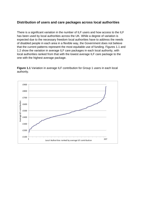### **Distribution of users and care packages across local authorities**

There is a significant variation in the number of ILF users and how access to the ILF has been used by local authorities across the UK. While a degree of variation is expected due to the necessary freedom local authorities have to address the needs of disabled people in each area in a flexible way, the Government does not believe that the current patterns represent the most equitable use of funding. Figures 1.1 and 1.2 show the variation in average ILF care packages in each local authority, with local authorities ranked from that with the lowest average ILF care package to the one with the highest average package.

**Figure 1.1** Variation in average ILF contribution for Group 1 users in each local authority.

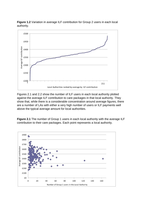

**Figure 1.2** Variation in average ILF contribution for Group 2 users in each local authority.

Figures 2.1 and 2.2 show the number of ILF users in each local authority plotted against the average ILF contribution to care packages in that local authority. They show that, while there is a considerable concentration around average figures, there are a number of LAs with either a very high number of users or ILF payments well above the typical average amount for local authorities.



**Figure 2.1** The number of Group 1 users in each local authority with the average ILF contribution to their care packages. Each point represents a local authority.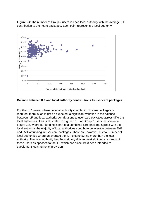



#### **Balance between ILF and local authority contributions to user care packages**

For Group 1 users, where no local authority contribution to care packages is required, there is, as might be expected, a significant variation in the balance between ILF and local authority contributions to user care packages across different local authorities. This is illustrated in Figure 3.1. For Group 2 users, as shown in Figure 3.2, where ILF funding is part of a combined care package agreed with the local authority, the majority of local authorities contribute on average between 50% and 65% of funding in user care packages. There are, however, a small number of local authorities where on average the ILF is contributing more than the local authority. The local authority has the statutory duty to meet eligible care needs of these users as opposed to the ILF which has since 1993 been intended to supplement local authority provision.